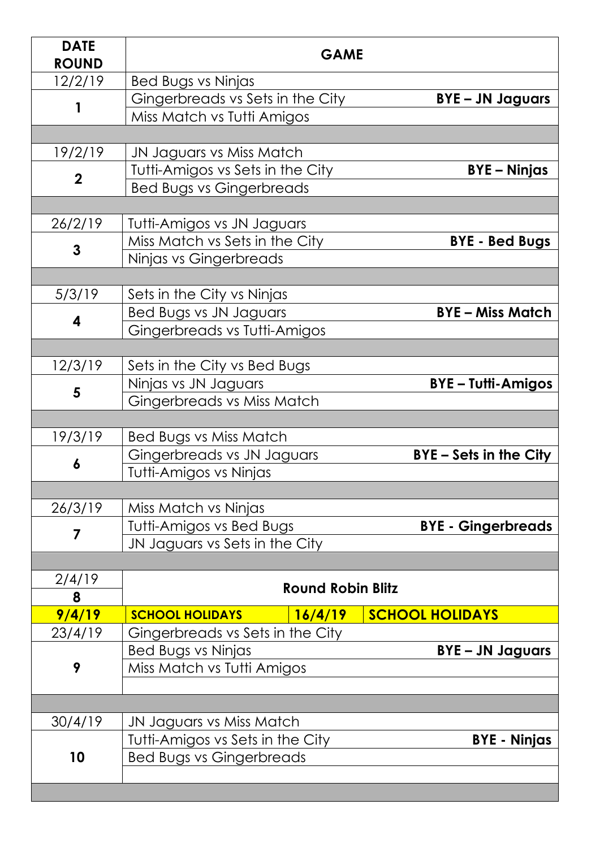| <b>DATE</b><br><b>ROUND</b> | <b>GAME</b>                                                   |         |                             |  |
|-----------------------------|---------------------------------------------------------------|---------|-----------------------------|--|
| 12/2/19                     | Bed Bugs vs Ninjas                                            |         |                             |  |
|                             | Gingerbreads vs Sets in the City                              |         | <b>BYE-JN Jaguars</b>       |  |
|                             | Miss Match vs Tutti Amigos                                    |         |                             |  |
|                             |                                                               |         |                             |  |
| 19/2/19                     | JN Jaguars vs Miss Match                                      |         |                             |  |
|                             | Tutti-Amigos vs Sets in the City<br><b>BYE-Ninjas</b>         |         |                             |  |
| $\mathbf 2$                 | <b>Bed Bugs vs Gingerbreads</b>                               |         |                             |  |
|                             |                                                               |         |                             |  |
| 26/2/19                     | Tutti-Amigos vs JN Jaguars                                    |         |                             |  |
| 3                           | Miss Match vs Sets in the City                                |         | <b>BYE - Bed Bugs</b>       |  |
|                             | Ninjas vs Gingerbreads                                        |         |                             |  |
|                             |                                                               |         |                             |  |
| 5/3/19                      | Sets in the City vs Ninjas                                    |         |                             |  |
|                             | <b>Bed Bugs vs JN Jaguars</b>                                 |         | <b>BYE-Miss Match</b>       |  |
| 4                           | Gingerbreads vs Tutti-Amigos                                  |         |                             |  |
|                             |                                                               |         |                             |  |
| 12/3/19                     | Sets in the City vs Bed Bugs                                  |         |                             |  |
|                             | Ninjas vs JN Jaguars                                          |         | <b>BYE-Tutti-Amigos</b>     |  |
| 5                           | Gingerbreads vs Miss Match                                    |         |                             |  |
|                             |                                                               |         |                             |  |
| 19/3/19                     | Bed Bugs vs Miss Match                                        |         |                             |  |
| 6                           | Gingerbreads vs JN Jaguars                                    |         | <b>BYE-Sets in the City</b> |  |
|                             | Tutti-Amigos vs Ninjas                                        |         |                             |  |
|                             |                                                               |         |                             |  |
| 26/3/19                     | Miss Match vs Ninjas                                          |         |                             |  |
|                             |                                                               |         | <b>BYE - Gingerbreads</b>   |  |
| 7                           | Tutti-Amigos vs Bed Bugs                                      |         |                             |  |
|                             | JN Jaguars vs Sets in the City                                |         |                             |  |
|                             |                                                               |         |                             |  |
| 2/4/19                      | <b>Round Robin Blitz</b>                                      |         |                             |  |
| 8                           | <b>SCHOOL HOLIDAYS</b>                                        |         |                             |  |
| 9/4/19                      |                                                               | 16/4/19 | <b>SCHOOL HOLIDAYS</b>      |  |
| 23/4/19                     | Gingerbreads vs Sets in the City<br><b>Bed Bugs vs Ninjas</b> |         |                             |  |
|                             | Miss Match vs Tutti Amigos                                    |         | <b>BYE-JN Jaguars</b>       |  |
| 9                           |                                                               |         |                             |  |
|                             |                                                               |         |                             |  |
|                             |                                                               |         |                             |  |
| 30/4/19                     | JN Jaguars vs Miss Match                                      |         |                             |  |
|                             | Tutti-Amigos vs Sets in the City                              |         | <b>BYE - Ninjas</b>         |  |
| 10                          | <b>Bed Bugs vs Gingerbreads</b>                               |         |                             |  |
|                             |                                                               |         |                             |  |
|                             |                                                               |         |                             |  |